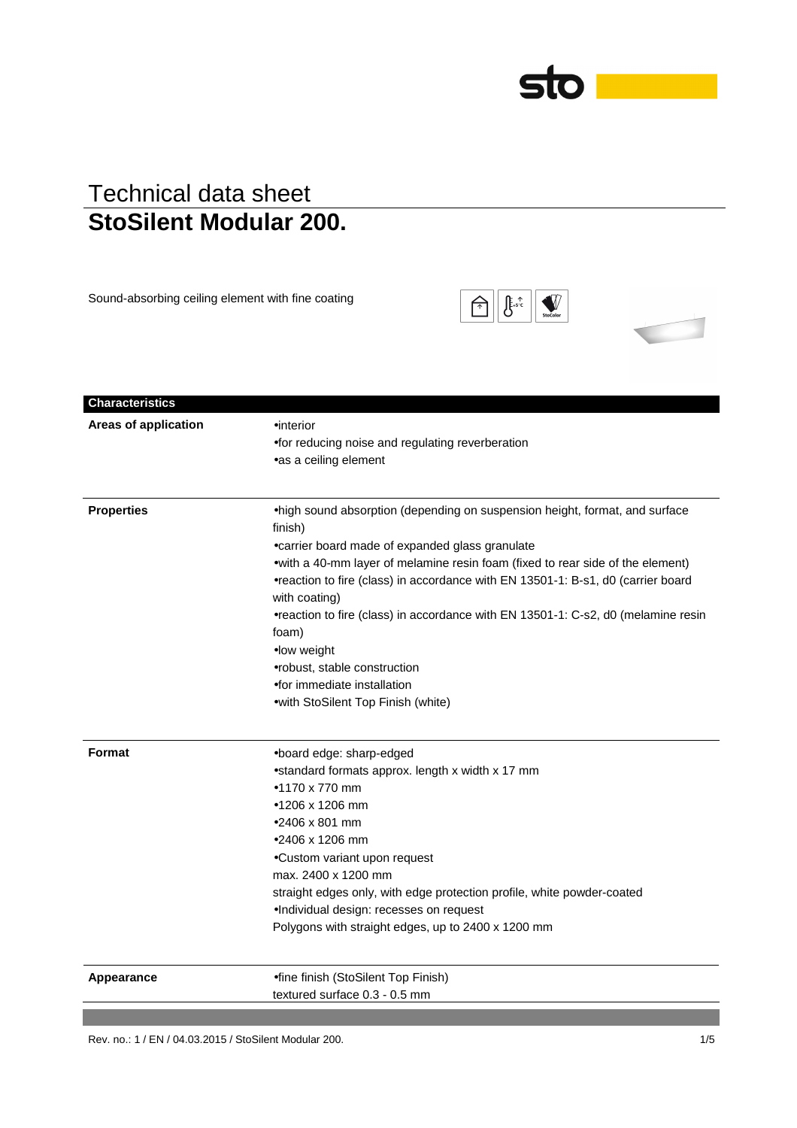# sto

### Technical data sheet **StoSilent Modular 200.**

Sound-absorbing ceiling element with fine coating

|  | StoColor |  |
|--|----------|--|
|  |          |  |

| Areas of application | $\bullet$ interior                                                                                                                                                                   |
|----------------------|--------------------------------------------------------------------------------------------------------------------------------------------------------------------------------------|
|                      | •for reducing noise and regulating reverberation                                                                                                                                     |
|                      | •as a ceiling element                                                                                                                                                                |
| <b>Properties</b>    | .high sound absorption (depending on suspension height, format, and surface                                                                                                          |
|                      | finish)                                                                                                                                                                              |
|                      | • carrier board made of expanded glass granulate                                                                                                                                     |
|                      | • with a 40-mm layer of melamine resin foam (fixed to rear side of the element)<br>•reaction to fire (class) in accordance with EN 13501-1: B-s1, d0 (carrier board<br>with coating) |
|                      | •reaction to fire (class) in accordance with EN 13501-1: C-s2, d0 (melamine resin<br>foam)                                                                                           |
|                      | •low weight                                                                                                                                                                          |
|                      | • robust, stable construction                                                                                                                                                        |
|                      | •for immediate installation                                                                                                                                                          |
|                      | • with StoSilent Top Finish (white)                                                                                                                                                  |
| <b>Format</b>        | .board edge: sharp-edged                                                                                                                                                             |
|                      | •standard formats approx. length x width x 17 mm                                                                                                                                     |
|                      | $•1170 \times 770$ mm                                                                                                                                                                |
|                      | •1206 x 1206 mm                                                                                                                                                                      |
|                      | $•2406 \times 801$ mm                                                                                                                                                                |
|                      | ●2406 x 1206 mm                                                                                                                                                                      |
|                      | •Custom variant upon request                                                                                                                                                         |
|                      | max. 2400 x 1200 mm                                                                                                                                                                  |
|                      | straight edges only, with edge protection profile, white powder-coated                                                                                                               |
|                      | •Individual design: recesses on request                                                                                                                                              |
|                      | Polygons with straight edges, up to 2400 x 1200 mm                                                                                                                                   |
| Appearance           | •fine finish (StoSilent Top Finish)                                                                                                                                                  |
|                      | textured surface 0.3 - 0.5 mm                                                                                                                                                        |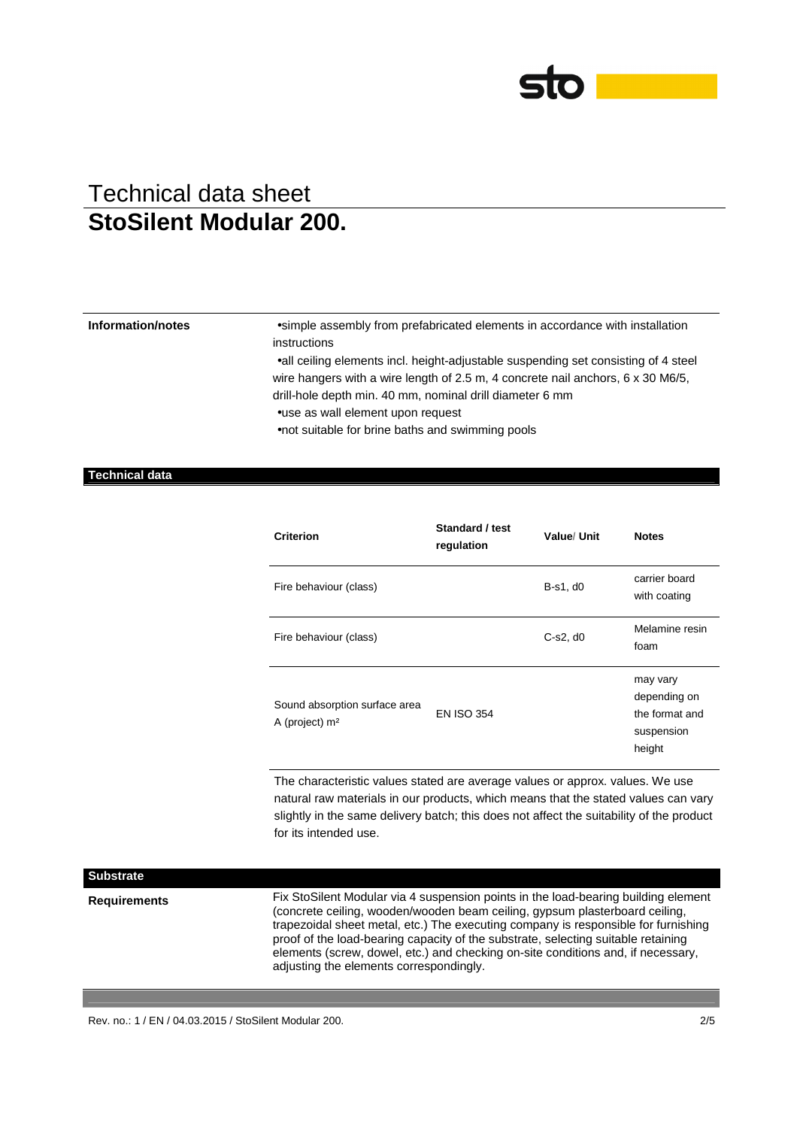

**Information/notes** •simple assembly from prefabricated elements in accordance with installation instructions

> •all ceiling elements incl. height-adjustable suspending set consisting of 4 steel wire hangers with a wire length of 2.5 m, 4 concrete nail anchors, 6 x 30 M6/5, drill-hole depth min. 40 mm, nominal drill diameter 6 mm

•use as wall element upon request

•not suitable for brine baths and swimming pools

### **Technical data**

| <b>Criterion</b>                                  | Standard / test<br>regulation | Value/ Unit | <b>Notes</b>                                                       |
|---------------------------------------------------|-------------------------------|-------------|--------------------------------------------------------------------|
| Fire behaviour (class)                            |                               | B-s1, d0    | carrier board<br>with coating                                      |
| Fire behaviour (class)                            |                               | $C-s2, d0$  | Melamine resin<br>foam                                             |
| Sound absorption surface area<br>A (project) $m2$ | <b>EN ISO 354</b>             |             | may vary<br>depending on<br>the format and<br>suspension<br>height |

The characteristic values stated are average values or approx. values. We use natural raw materials in our products, which means that the stated values can vary slightly in the same delivery batch; this does not affect the suitability of the product for its intended use.

| <b>Substrate</b>    |                                                                                                                                                                                                                                                                                                                                                                                                                                                                             |
|---------------------|-----------------------------------------------------------------------------------------------------------------------------------------------------------------------------------------------------------------------------------------------------------------------------------------------------------------------------------------------------------------------------------------------------------------------------------------------------------------------------|
| <b>Requirements</b> | Fix StoSilent Modular via 4 suspension points in the load-bearing building element<br>(concrete ceiling, wooden/wooden beam ceiling, gypsum plasterboard ceiling,<br>trapezoidal sheet metal, etc.) The executing company is responsible for furnishing<br>proof of the load-bearing capacity of the substrate, selecting suitable retaining<br>elements (screw, dowel, etc.) and checking on-site conditions and, if necessary,<br>adjusting the elements correspondingly. |

Rev. no.: 1 / EN / 04.03.2015 / StoSilent Modular 200. 2/5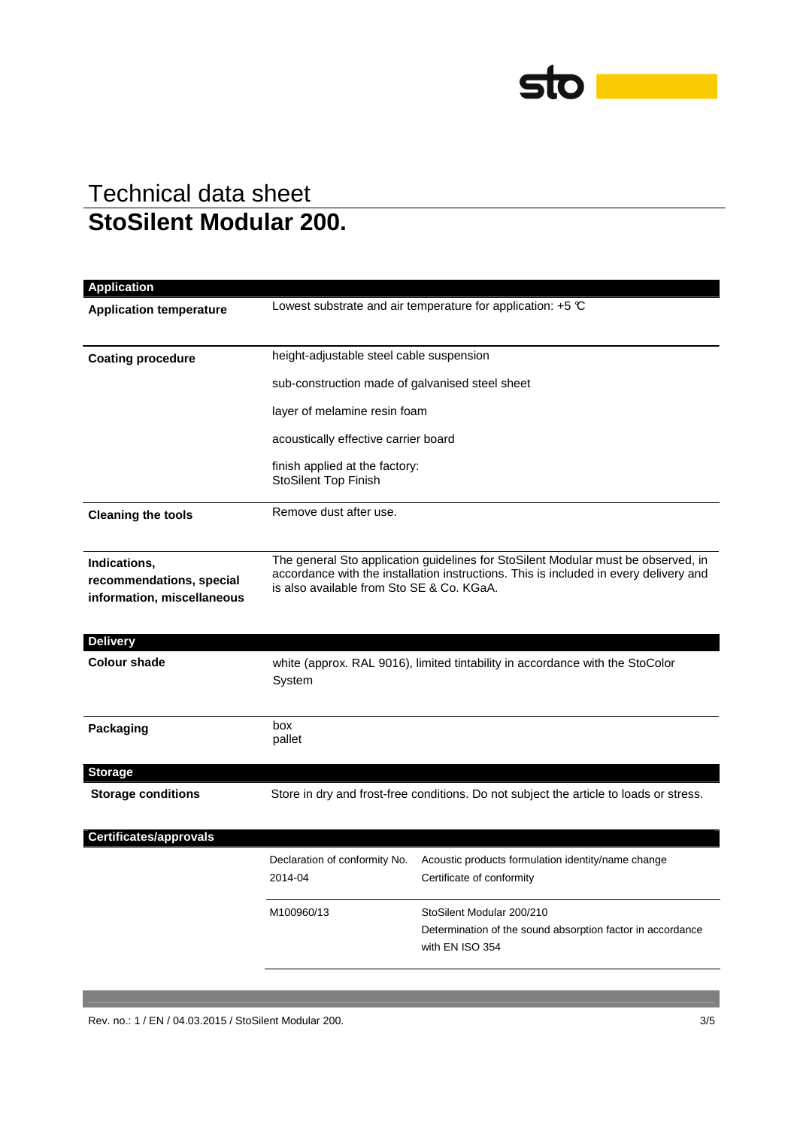

| Application                                                            |                                                                                                                                                                                                                         |                                                                                                            |  |
|------------------------------------------------------------------------|-------------------------------------------------------------------------------------------------------------------------------------------------------------------------------------------------------------------------|------------------------------------------------------------------------------------------------------------|--|
| <b>Application temperature</b>                                         | Lowest substrate and air temperature for application: $+5$ $\degree$ C                                                                                                                                                  |                                                                                                            |  |
| <b>Coating procedure</b>                                               | height-adjustable steel cable suspension                                                                                                                                                                                |                                                                                                            |  |
|                                                                        | sub-construction made of galvanised steel sheet                                                                                                                                                                         |                                                                                                            |  |
|                                                                        | layer of melamine resin foam                                                                                                                                                                                            |                                                                                                            |  |
|                                                                        | acoustically effective carrier board                                                                                                                                                                                    |                                                                                                            |  |
|                                                                        | finish applied at the factory:<br><b>StoSilent Top Finish</b>                                                                                                                                                           |                                                                                                            |  |
| <b>Cleaning the tools</b>                                              | Remove dust after use.                                                                                                                                                                                                  |                                                                                                            |  |
| Indications,<br>recommendations, special<br>information, miscellaneous | The general Sto application guidelines for StoSilent Modular must be observed, in<br>accordance with the installation instructions. This is included in every delivery and<br>is also available from Sto SE & Co. KGaA. |                                                                                                            |  |
| <b>Delivery</b>                                                        |                                                                                                                                                                                                                         |                                                                                                            |  |
| <b>Colour shade</b>                                                    | white (approx. RAL 9016), limited tintability in accordance with the StoColor<br>System                                                                                                                                 |                                                                                                            |  |
| Packaging                                                              | box<br>pallet                                                                                                                                                                                                           |                                                                                                            |  |
| <b>Storage</b>                                                         |                                                                                                                                                                                                                         |                                                                                                            |  |
| <b>Storage conditions</b>                                              | Store in dry and frost-free conditions. Do not subject the article to loads or stress.                                                                                                                                  |                                                                                                            |  |
| <b>Certificates/approvals</b>                                          |                                                                                                                                                                                                                         |                                                                                                            |  |
|                                                                        | Declaration of conformity No.<br>2014-04                                                                                                                                                                                | Acoustic products formulation identity/name change<br>Certificate of conformity                            |  |
|                                                                        | M100960/13                                                                                                                                                                                                              | StoSilent Modular 200/210<br>Determination of the sound absorption factor in accordance<br>with EN ISO 354 |  |
|                                                                        |                                                                                                                                                                                                                         |                                                                                                            |  |

Rev. no.: 1 / EN / 04.03.2015 / StoSilent Modular 200. 3/5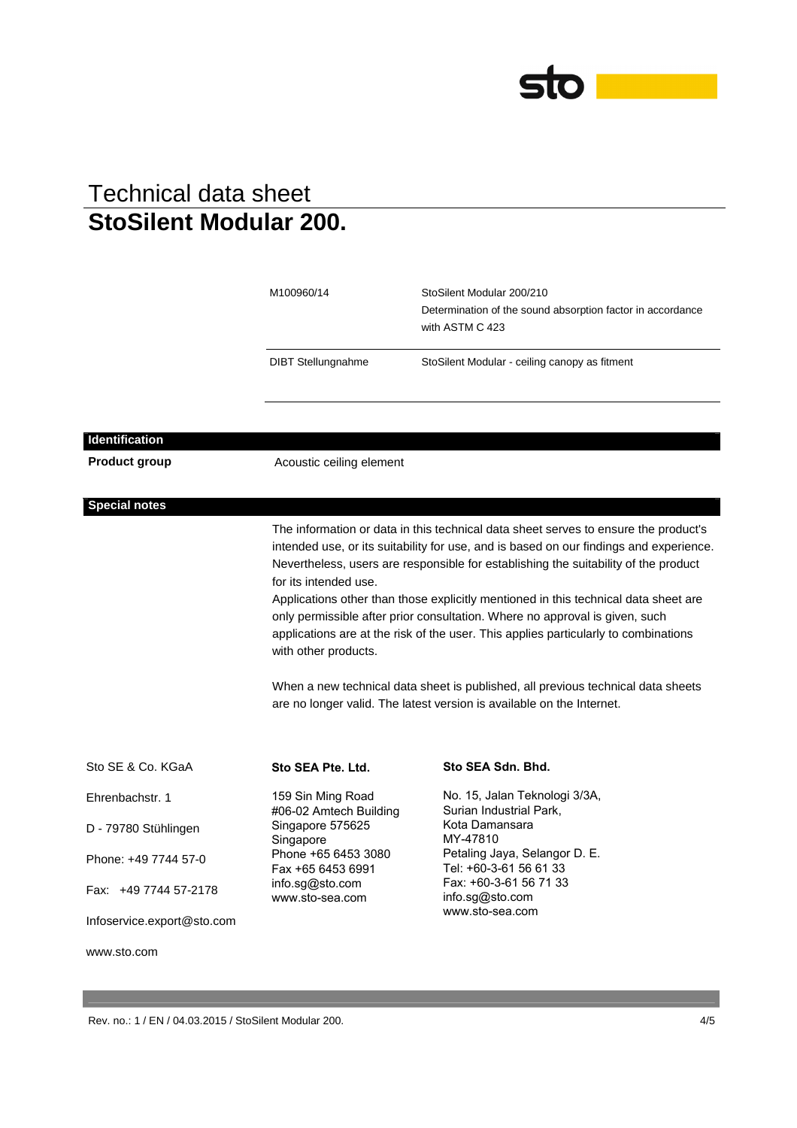

|                            | M100960/14<br><b>DIBT</b> Stellungnahme                                                                                                                                                                                                                                                                                                                                                                                                                                                     | StoSilent Modular 200/210<br>Determination of the sound absorption factor in accordance<br>with ASTM C 423<br>StoSilent Modular - ceiling canopy as fitment                                    |  |
|----------------------------|---------------------------------------------------------------------------------------------------------------------------------------------------------------------------------------------------------------------------------------------------------------------------------------------------------------------------------------------------------------------------------------------------------------------------------------------------------------------------------------------|------------------------------------------------------------------------------------------------------------------------------------------------------------------------------------------------|--|
| <b>Identification</b>      |                                                                                                                                                                                                                                                                                                                                                                                                                                                                                             |                                                                                                                                                                                                |  |
| <b>Product group</b>       | Acoustic ceiling element                                                                                                                                                                                                                                                                                                                                                                                                                                                                    |                                                                                                                                                                                                |  |
| <b>Special notes</b>       |                                                                                                                                                                                                                                                                                                                                                                                                                                                                                             |                                                                                                                                                                                                |  |
|                            | The information or data in this technical data sheet serves to ensure the product's                                                                                                                                                                                                                                                                                                                                                                                                         |                                                                                                                                                                                                |  |
|                            | intended use, or its suitability for use, and is based on our findings and experience.<br>Nevertheless, users are responsible for establishing the suitability of the product<br>for its intended use.<br>Applications other than those explicitly mentioned in this technical data sheet are<br>only permissible after prior consultation. Where no approval is given, such<br>applications are at the risk of the user. This applies particularly to combinations<br>with other products. |                                                                                                                                                                                                |  |
|                            | When a new technical data sheet is published, all previous technical data sheets<br>are no longer valid. The latest version is available on the Internet.                                                                                                                                                                                                                                                                                                                                   |                                                                                                                                                                                                |  |
| Sto SE & Co. KGaA          | Sto SEA Pte. Ltd.                                                                                                                                                                                                                                                                                                                                                                                                                                                                           | Sto SEA Sdn. Bhd.                                                                                                                                                                              |  |
| Ehrenbachstr. 1            | 159 Sin Ming Road<br>#06-02 Amtech Building                                                                                                                                                                                                                                                                                                                                                                                                                                                 | No. 15, Jalan Teknologi 3/3A,<br>Surian Industrial Park,<br>Kota Damansara<br>MY-47810<br>Petaling Jaya, Selangor D. E.<br>Tel: +60-3-61 56 61 33<br>Fax: +60-3-61 56 71 33<br>info.sg@sto.com |  |
| D - 79780 Stühlingen       | Singapore 575625<br>Singapore                                                                                                                                                                                                                                                                                                                                                                                                                                                               |                                                                                                                                                                                                |  |
| Phone: +49 7744 57-0       | Phone +65 6453 3080<br>Fax +65 6453 6991                                                                                                                                                                                                                                                                                                                                                                                                                                                    |                                                                                                                                                                                                |  |
| Fax: +49 7744 57-2178      | info.sg@sto.com<br>www.sto-sea.com                                                                                                                                                                                                                                                                                                                                                                                                                                                          |                                                                                                                                                                                                |  |
| Infoservice.export@sto.com |                                                                                                                                                                                                                                                                                                                                                                                                                                                                                             | www.sto-sea.com                                                                                                                                                                                |  |
| www.sto.com                |                                                                                                                                                                                                                                                                                                                                                                                                                                                                                             |                                                                                                                                                                                                |  |